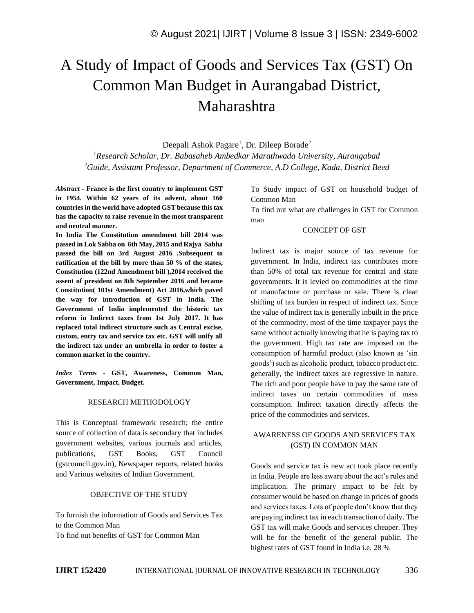# A Study of Impact of Goods and Services Tax (GST) On Common Man Budget in Aurangabad District, Maharashtra

Deepali Ashok Pagare<sup>1</sup>, Dr. Dileep Borade<sup>2</sup>

*<sup>1</sup>Research Scholar, Dr. Babasaheb Ambedkar Marathwada University, Aurangabad <sup>2</sup>Guide, Assistant Professor, Department of Commerce, A.D College, Kada, District Beed*

*Abstract -* **France is the first country to implement GST in 1954. Within 62 years of its advent, about 160 countries in the world have adopted GST because this tax has the capacity to raise revenue in the most transparent and neutral manner.**

**In India The Constitution amendment bill 2014 was passed in Lok Sabha on 6th May, 2015 and Rajya Sabha passed the bill on 3rd August 2016 .Subsequent to ratification of the bill by more than 50 % of the states, Constitution (122nd Amendment bill ),2014 received the assent of president on 8th September 2016 and became Constitution( 101st Amendment) Act 2016,which paved the way for introduction of GST in India. The Government of India implemented the historic tax reform in Indirect taxes from 1st July 2017. It has replaced total indirect structure such as Central excise, custom, entry tax and service tax etc. GST will unify all the indirect tax under an umbrella in order to foster a common market in the country.**

*Index Terms -* **GST, Awareness, Common Man, Government, Impact, Budget.**

#### RESEARCH METHODOLOGY

This is Conceptual framework research; the entire source of collection of data is secondary that includes government websites, various journals and articles, publications, GST Books, GST Council (gstcouncil.gov.in), Newspaper reports, related books and Various websites of Indian Government.

#### OBJECTIVE OF THE STUDY

To furnish the information of Goods and Services Tax to the Common Man To find out benefits of GST for Common Man

To Study impact of GST on household budget of Common Man

To find out what are challenges in GST for Common man

## CONCEPT OF GST

Indirect tax is major source of tax revenue for government. In India, indirect tax contributes more than 50% of total tax revenue for central and state governments. It is levied on commodities at the time of manufacture or purchase or sale. There is clear shifting of tax burden in respect of indirect tax. Since the value of indirect tax is generally inbuilt in the price of the commodity, most of the time taxpayer pays the same without actually knowing that he is paying tax to the government. High tax rate are imposed on the consumption of harmful product (also known as 'sin goods') such as alcoholic product, tobacco product etc. generally, the indirect taxes are regressive in nature. The rich and poor people have to pay the same rate of indirect taxes on certain commodities of mass consumption. Indirect taxation directly affects the price of the commodities and services.

## AWARENESS OF GOODS AND SERVICES TAX (GST) IN COMMON MAN

Goods and service tax is new act took place recently in India. People are less aware about the act's rules and implication. The primary impact to be felt by consumer would be based on change in prices of goods and services taxes. Lots of people don't know that they are paying indirect tax in each transaction of daily. The GST tax will make Goods and services cheaper. They will be for the benefit of the general public. The highest rates of GST found in India i.e. 28 %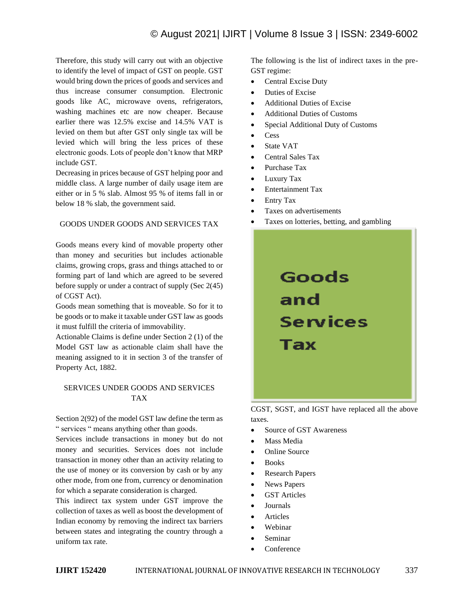# © August 2021| IJIRT | Volume 8 Issue 3 | ISSN: 2349-6002

Therefore, this study will carry out with an objective to identify the level of impact of GST on people. GST would bring down the prices of goods and services and thus increase consumer consumption. Electronic goods like AC, microwave ovens, refrigerators, washing machines etc are now cheaper. Because earlier there was 12.5% excise and 14.5% VAT is levied on them but after GST only single tax will be levied which will bring the less prices of these electronic goods. Lots of people don't know that MRP include GST.

Decreasing in prices because of GST helping poor and middle class. A large number of daily usage item are either or in 5 % slab. Almost 95 % of items fall in or below 18 % slab, the government said.

#### GOODS UNDER GOODS AND SERVICES TAX

Goods means every kind of movable property other than money and securities but includes actionable claims, growing crops, grass and things attached to or forming part of land which are agreed to be severed before supply or under a contract of supply (Sec 2(45) of CGST Act).

Goods mean something that is moveable. So for it to be goods or to make it taxable under GST law as goods it must fulfill the criteria of immovability.

Actionable Claims is define under Section 2 (1) of the Model GST law as actionable claim shall have the meaning assigned to it in section 3 of the transfer of Property Act, 1882.

# SERVICES UNDER GOODS AND SERVICES TAX

Section 2(92) of the model GST law define the term as " services " means anything other than goods.

Services include transactions in money but do not money and securities. Services does not include transaction in money other than an activity relating to the use of money or its conversion by cash or by any other mode, from one from, currency or denomination for which a separate consideration is charged.

This indirect tax system under GST improve the collection of taxes as well as boost the development of Indian economy by removing the indirect tax barriers between states and integrating the country through a uniform tax rate.

The following is the list of indirect taxes in the pre-GST regime:

- Central Excise Duty
- Duties of Excise
- Additional Duties of Excise
- Additional Duties of Customs
- Special Additional Duty of Customs
- Cess
- State VAT
- Central Sales Tax
- Purchase Tax
- Luxury Tax
- Entertainment Tax
- Entry Tax
- Taxes on advertisements
- Taxes on lotteries, betting, and gambling

Goods and **Services** Тах

CGST, SGST, and IGST have replaced all the above taxes.

- Source of GST Awareness
- Mass Media
- Online Source
- Books
- Research Papers
- News Papers
- **GST** Articles
- Journals
- **Articles**
- Webinar
- Seminar
- **Conference**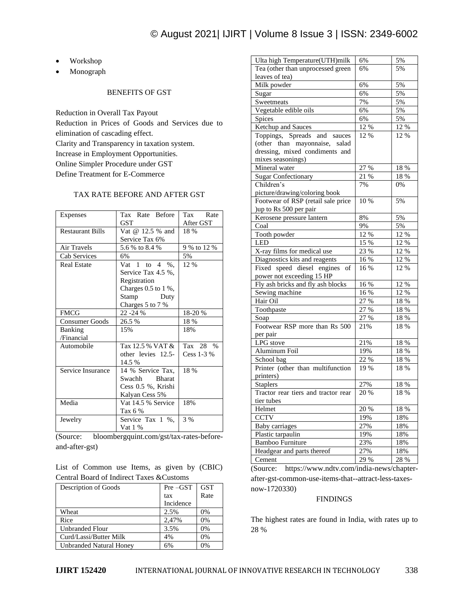- Workshop
- Monograph

#### BENEFITS OF GST

Reduction in Overall Tax Payout Reduction in Prices of Goods and Services due to elimination of cascading effect. Clarity and Transparency in taxation system. Increase in Employment Opportunities. Online Simpler Procedure under GST Define Treatment for E-Commerce

#### TAX RATE BEFORE AND AFTER GST

| Expenses                | Tax Rate Before<br><b>GST</b> | Tax Rate     |
|-------------------------|-------------------------------|--------------|
|                         |                               | After GST    |
| <b>Restaurant Bills</b> | Vat @ 12.5 % and              | 18 %         |
|                         | Service Tax 6%                |              |
| Air Travels             | 5.6 % to 8.4 %                | 9 % to 12 %  |
| Cab Services            | 6%                            | 5%           |
| <b>Real Estate</b>      | Vat $1$ to $4$<br>$%$ .       | 12 %         |
|                         | Service Tax 4.5 %,            |              |
|                         | Registration                  |              |
|                         | Charges $0.5$ to $1\%$ ,      |              |
|                         | Stamp Duty                    |              |
|                         | Charges 5 to 7 %              |              |
| <b>FMCG</b>             | 22 -24 %                      | 18-20 %      |
| <b>Consumer Goods</b>   | 26.5 %                        | 18%          |
| <b>Banking</b>          | 15%                           | 18%          |
| /Financial              |                               |              |
| Automobile              | Tax 12.5 % VAT &              | Tax 28 %     |
|                         | other levies 12.5-            | Cess $1-3\%$ |
|                         | 14.5 %                        |              |
| Service Insurance       | 14 % Service Tax,             | 18 %         |
|                         | Swachh Bharat                 |              |
|                         | Cess 0.5 %, Krishi            |              |
|                         | Kalyan Cess 5%                |              |
| Media                   | Vat 14.5 % Service            | 18%          |
|                         | Tax 6 %                       |              |
| Jewelry                 | Service Tax 1 %,              | 3 %          |
|                         | Vat 1 %                       |              |

(Source: bloombergquint.com/gst/tax-rates-beforeand-after-gst)

List of Common use Items, as given by (CBIC) Central Board of Indirect Taxes &Customs

| Description of Goods    | $Pre - GST$ | <b>GST</b> |
|-------------------------|-------------|------------|
|                         | tax         | Rate       |
|                         | Incidence   |            |
| Wheat                   | 2.5%        | $0\%$      |
| Rice                    | 2,47%       | 0%         |
| <b>Unbranded Flour</b>  | 3.5%        | 0%         |
| Curd/Lassi/Butter Milk  | 4%          | $0\%$      |
| Unbranded Natural Honey | 6%          | 0%         |

| Tea (other than unprocessed green<br>5%<br>6%<br>leaves of tea)<br>Milk powder<br>6%<br>5%<br>6%<br>5%<br>Sugar<br>5%<br>Sweetmeats<br>7%<br>5%<br>6%<br>Vegetable edible oils<br>6%<br>5%<br><b>Spices</b><br>Ketchup and Sauces<br>12 %<br>12 %<br>Toppings, Spreads and<br>12 %<br>12 %<br>sauces<br>(other than mayonnaise, salad<br>dressing, mixed condiments and<br>mixes seasonings)<br>Mineral water<br>27 %<br>18 %<br><b>Sugar Confectionary</b><br>21 %<br>18 %<br>Children's<br>7%<br>0%<br>picture/drawing/coloring book<br>Footwear of RSP (retail sale price<br>10 %<br>5%<br>)up to Rs 500 per pair<br>8%<br>Kerosene pressure lantern<br>5%<br>9%<br>5%<br>Coal<br>Tooth powder<br>12 %<br>12 %<br>15 %<br>12 %<br>LED<br>X-ray films for medical use<br>23 %<br>12 %<br>Diagnostics kits and reagents<br>12 %<br>16 %<br>Fixed speed diesel engines<br>16 %<br>12 %<br>of<br>power not exceeding 15 HP<br>Fly ash bricks and fly ash blocks<br>16 %<br>12 %<br>16 %<br>12 %<br>Sewing machine<br>Hair Oil<br>27 %<br>18 %<br>27 %<br>Toothpaste<br>18 %<br>18 %<br>Soap<br>27 %<br>Footwear RSP more than Rs 500<br>18 %<br>21%<br>per pair<br>LPG stove<br>21%<br>18 %<br>19%<br>Aluminum Foil<br>18 %<br>School bag<br>22 %<br>18 %<br>Printer (other than multifunction<br>19 %<br>18 %<br>printers)<br>27%<br><b>Staplers</b><br>18 %<br>Tractor rear tiers and tractor rear<br>20 %<br>18 %<br>tier tubes<br>Helmet<br>20 %<br>18 %<br><b>CCTV</b><br>19%<br>18%<br>27%<br><b>Baby carriages</b><br>18%<br>Plastic tarpaulin<br>19%<br>18%<br><b>Bamboo Furniture</b><br>23%<br>18%<br>27%<br>Headgear and parts thereof<br>18%<br>Cement<br>29 %<br>28 % | Ulta high Temperature(UTH)milk | 6%        | 5% |
|-----------------------------------------------------------------------------------------------------------------------------------------------------------------------------------------------------------------------------------------------------------------------------------------------------------------------------------------------------------------------------------------------------------------------------------------------------------------------------------------------------------------------------------------------------------------------------------------------------------------------------------------------------------------------------------------------------------------------------------------------------------------------------------------------------------------------------------------------------------------------------------------------------------------------------------------------------------------------------------------------------------------------------------------------------------------------------------------------------------------------------------------------------------------------------------------------------------------------------------------------------------------------------------------------------------------------------------------------------------------------------------------------------------------------------------------------------------------------------------------------------------------------------------------------------------------------------------------------------------------------------------------------------------------------------------|--------------------------------|-----------|----|
|                                                                                                                                                                                                                                                                                                                                                                                                                                                                                                                                                                                                                                                                                                                                                                                                                                                                                                                                                                                                                                                                                                                                                                                                                                                                                                                                                                                                                                                                                                                                                                                                                                                                                   |                                |           |    |
|                                                                                                                                                                                                                                                                                                                                                                                                                                                                                                                                                                                                                                                                                                                                                                                                                                                                                                                                                                                                                                                                                                                                                                                                                                                                                                                                                                                                                                                                                                                                                                                                                                                                                   |                                |           |    |
|                                                                                                                                                                                                                                                                                                                                                                                                                                                                                                                                                                                                                                                                                                                                                                                                                                                                                                                                                                                                                                                                                                                                                                                                                                                                                                                                                                                                                                                                                                                                                                                                                                                                                   |                                |           |    |
|                                                                                                                                                                                                                                                                                                                                                                                                                                                                                                                                                                                                                                                                                                                                                                                                                                                                                                                                                                                                                                                                                                                                                                                                                                                                                                                                                                                                                                                                                                                                                                                                                                                                                   |                                |           |    |
|                                                                                                                                                                                                                                                                                                                                                                                                                                                                                                                                                                                                                                                                                                                                                                                                                                                                                                                                                                                                                                                                                                                                                                                                                                                                                                                                                                                                                                                                                                                                                                                                                                                                                   |                                |           |    |
|                                                                                                                                                                                                                                                                                                                                                                                                                                                                                                                                                                                                                                                                                                                                                                                                                                                                                                                                                                                                                                                                                                                                                                                                                                                                                                                                                                                                                                                                                                                                                                                                                                                                                   |                                |           |    |
|                                                                                                                                                                                                                                                                                                                                                                                                                                                                                                                                                                                                                                                                                                                                                                                                                                                                                                                                                                                                                                                                                                                                                                                                                                                                                                                                                                                                                                                                                                                                                                                                                                                                                   |                                |           |    |
|                                                                                                                                                                                                                                                                                                                                                                                                                                                                                                                                                                                                                                                                                                                                                                                                                                                                                                                                                                                                                                                                                                                                                                                                                                                                                                                                                                                                                                                                                                                                                                                                                                                                                   |                                |           |    |
|                                                                                                                                                                                                                                                                                                                                                                                                                                                                                                                                                                                                                                                                                                                                                                                                                                                                                                                                                                                                                                                                                                                                                                                                                                                                                                                                                                                                                                                                                                                                                                                                                                                                                   |                                |           |    |
|                                                                                                                                                                                                                                                                                                                                                                                                                                                                                                                                                                                                                                                                                                                                                                                                                                                                                                                                                                                                                                                                                                                                                                                                                                                                                                                                                                                                                                                                                                                                                                                                                                                                                   |                                |           |    |
|                                                                                                                                                                                                                                                                                                                                                                                                                                                                                                                                                                                                                                                                                                                                                                                                                                                                                                                                                                                                                                                                                                                                                                                                                                                                                                                                                                                                                                                                                                                                                                                                                                                                                   |                                |           |    |
|                                                                                                                                                                                                                                                                                                                                                                                                                                                                                                                                                                                                                                                                                                                                                                                                                                                                                                                                                                                                                                                                                                                                                                                                                                                                                                                                                                                                                                                                                                                                                                                                                                                                                   |                                |           |    |
|                                                                                                                                                                                                                                                                                                                                                                                                                                                                                                                                                                                                                                                                                                                                                                                                                                                                                                                                                                                                                                                                                                                                                                                                                                                                                                                                                                                                                                                                                                                                                                                                                                                                                   |                                |           |    |
|                                                                                                                                                                                                                                                                                                                                                                                                                                                                                                                                                                                                                                                                                                                                                                                                                                                                                                                                                                                                                                                                                                                                                                                                                                                                                                                                                                                                                                                                                                                                                                                                                                                                                   |                                |           |    |
|                                                                                                                                                                                                                                                                                                                                                                                                                                                                                                                                                                                                                                                                                                                                                                                                                                                                                                                                                                                                                                                                                                                                                                                                                                                                                                                                                                                                                                                                                                                                                                                                                                                                                   |                                |           |    |
|                                                                                                                                                                                                                                                                                                                                                                                                                                                                                                                                                                                                                                                                                                                                                                                                                                                                                                                                                                                                                                                                                                                                                                                                                                                                                                                                                                                                                                                                                                                                                                                                                                                                                   |                                |           |    |
|                                                                                                                                                                                                                                                                                                                                                                                                                                                                                                                                                                                                                                                                                                                                                                                                                                                                                                                                                                                                                                                                                                                                                                                                                                                                                                                                                                                                                                                                                                                                                                                                                                                                                   |                                |           |    |
|                                                                                                                                                                                                                                                                                                                                                                                                                                                                                                                                                                                                                                                                                                                                                                                                                                                                                                                                                                                                                                                                                                                                                                                                                                                                                                                                                                                                                                                                                                                                                                                                                                                                                   |                                |           |    |
|                                                                                                                                                                                                                                                                                                                                                                                                                                                                                                                                                                                                                                                                                                                                                                                                                                                                                                                                                                                                                                                                                                                                                                                                                                                                                                                                                                                                                                                                                                                                                                                                                                                                                   |                                |           |    |
|                                                                                                                                                                                                                                                                                                                                                                                                                                                                                                                                                                                                                                                                                                                                                                                                                                                                                                                                                                                                                                                                                                                                                                                                                                                                                                                                                                                                                                                                                                                                                                                                                                                                                   |                                |           |    |
|                                                                                                                                                                                                                                                                                                                                                                                                                                                                                                                                                                                                                                                                                                                                                                                                                                                                                                                                                                                                                                                                                                                                                                                                                                                                                                                                                                                                                                                                                                                                                                                                                                                                                   |                                |           |    |
|                                                                                                                                                                                                                                                                                                                                                                                                                                                                                                                                                                                                                                                                                                                                                                                                                                                                                                                                                                                                                                                                                                                                                                                                                                                                                                                                                                                                                                                                                                                                                                                                                                                                                   |                                |           |    |
|                                                                                                                                                                                                                                                                                                                                                                                                                                                                                                                                                                                                                                                                                                                                                                                                                                                                                                                                                                                                                                                                                                                                                                                                                                                                                                                                                                                                                                                                                                                                                                                                                                                                                   |                                |           |    |
|                                                                                                                                                                                                                                                                                                                                                                                                                                                                                                                                                                                                                                                                                                                                                                                                                                                                                                                                                                                                                                                                                                                                                                                                                                                                                                                                                                                                                                                                                                                                                                                                                                                                                   |                                |           |    |
|                                                                                                                                                                                                                                                                                                                                                                                                                                                                                                                                                                                                                                                                                                                                                                                                                                                                                                                                                                                                                                                                                                                                                                                                                                                                                                                                                                                                                                                                                                                                                                                                                                                                                   |                                |           |    |
|                                                                                                                                                                                                                                                                                                                                                                                                                                                                                                                                                                                                                                                                                                                                                                                                                                                                                                                                                                                                                                                                                                                                                                                                                                                                                                                                                                                                                                                                                                                                                                                                                                                                                   |                                |           |    |
|                                                                                                                                                                                                                                                                                                                                                                                                                                                                                                                                                                                                                                                                                                                                                                                                                                                                                                                                                                                                                                                                                                                                                                                                                                                                                                                                                                                                                                                                                                                                                                                                                                                                                   |                                |           |    |
|                                                                                                                                                                                                                                                                                                                                                                                                                                                                                                                                                                                                                                                                                                                                                                                                                                                                                                                                                                                                                                                                                                                                                                                                                                                                                                                                                                                                                                                                                                                                                                                                                                                                                   |                                |           |    |
|                                                                                                                                                                                                                                                                                                                                                                                                                                                                                                                                                                                                                                                                                                                                                                                                                                                                                                                                                                                                                                                                                                                                                                                                                                                                                                                                                                                                                                                                                                                                                                                                                                                                                   |                                |           |    |
|                                                                                                                                                                                                                                                                                                                                                                                                                                                                                                                                                                                                                                                                                                                                                                                                                                                                                                                                                                                                                                                                                                                                                                                                                                                                                                                                                                                                                                                                                                                                                                                                                                                                                   |                                |           |    |
|                                                                                                                                                                                                                                                                                                                                                                                                                                                                                                                                                                                                                                                                                                                                                                                                                                                                                                                                                                                                                                                                                                                                                                                                                                                                                                                                                                                                                                                                                                                                                                                                                                                                                   |                                |           |    |
|                                                                                                                                                                                                                                                                                                                                                                                                                                                                                                                                                                                                                                                                                                                                                                                                                                                                                                                                                                                                                                                                                                                                                                                                                                                                                                                                                                                                                                                                                                                                                                                                                                                                                   |                                |           |    |
|                                                                                                                                                                                                                                                                                                                                                                                                                                                                                                                                                                                                                                                                                                                                                                                                                                                                                                                                                                                                                                                                                                                                                                                                                                                                                                                                                                                                                                                                                                                                                                                                                                                                                   |                                |           |    |
|                                                                                                                                                                                                                                                                                                                                                                                                                                                                                                                                                                                                                                                                                                                                                                                                                                                                                                                                                                                                                                                                                                                                                                                                                                                                                                                                                                                                                                                                                                                                                                                                                                                                                   |                                |           |    |
|                                                                                                                                                                                                                                                                                                                                                                                                                                                                                                                                                                                                                                                                                                                                                                                                                                                                                                                                                                                                                                                                                                                                                                                                                                                                                                                                                                                                                                                                                                                                                                                                                                                                                   |                                |           |    |
|                                                                                                                                                                                                                                                                                                                                                                                                                                                                                                                                                                                                                                                                                                                                                                                                                                                                                                                                                                                                                                                                                                                                                                                                                                                                                                                                                                                                                                                                                                                                                                                                                                                                                   |                                |           |    |
|                                                                                                                                                                                                                                                                                                                                                                                                                                                                                                                                                                                                                                                                                                                                                                                                                                                                                                                                                                                                                                                                                                                                                                                                                                                                                                                                                                                                                                                                                                                                                                                                                                                                                   |                                |           |    |
|                                                                                                                                                                                                                                                                                                                                                                                                                                                                                                                                                                                                                                                                                                                                                                                                                                                                                                                                                                                                                                                                                                                                                                                                                                                                                                                                                                                                                                                                                                                                                                                                                                                                                   |                                |           |    |
|                                                                                                                                                                                                                                                                                                                                                                                                                                                                                                                                                                                                                                                                                                                                                                                                                                                                                                                                                                                                                                                                                                                                                                                                                                                                                                                                                                                                                                                                                                                                                                                                                                                                                   |                                |           |    |
|                                                                                                                                                                                                                                                                                                                                                                                                                                                                                                                                                                                                                                                                                                                                                                                                                                                                                                                                                                                                                                                                                                                                                                                                                                                                                                                                                                                                                                                                                                                                                                                                                                                                                   |                                |           |    |
|                                                                                                                                                                                                                                                                                                                                                                                                                                                                                                                                                                                                                                                                                                                                                                                                                                                                                                                                                                                                                                                                                                                                                                                                                                                                                                                                                                                                                                                                                                                                                                                                                                                                                   |                                |           |    |
|                                                                                                                                                                                                                                                                                                                                                                                                                                                                                                                                                                                                                                                                                                                                                                                                                                                                                                                                                                                                                                                                                                                                                                                                                                                                                                                                                                                                                                                                                                                                                                                                                                                                                   |                                |           |    |
|                                                                                                                                                                                                                                                                                                                                                                                                                                                                                                                                                                                                                                                                                                                                                                                                                                                                                                                                                                                                                                                                                                                                                                                                                                                                                                                                                                                                                                                                                                                                                                                                                                                                                   |                                |           |    |
|                                                                                                                                                                                                                                                                                                                                                                                                                                                                                                                                                                                                                                                                                                                                                                                                                                                                                                                                                                                                                                                                                                                                                                                                                                                                                                                                                                                                                                                                                                                                                                                                                                                                                   |                                |           |    |
|                                                                                                                                                                                                                                                                                                                                                                                                                                                                                                                                                                                                                                                                                                                                                                                                                                                                                                                                                                                                                                                                                                                                                                                                                                                                                                                                                                                                                                                                                                                                                                                                                                                                                   |                                |           |    |
|                                                                                                                                                                                                                                                                                                                                                                                                                                                                                                                                                                                                                                                                                                                                                                                                                                                                                                                                                                                                                                                                                                                                                                                                                                                                                                                                                                                                                                                                                                                                                                                                                                                                                   |                                |           |    |
|                                                                                                                                                                                                                                                                                                                                                                                                                                                                                                                                                                                                                                                                                                                                                                                                                                                                                                                                                                                                                                                                                                                                                                                                                                                                                                                                                                                                                                                                                                                                                                                                                                                                                   |                                | $\ddotsc$ |    |

(Source: https://www.ndtv.com/india-news/chapterafter-gst-common-use-items-that--attract-less-taxesnow-1720330)

#### FINDINGS

The highest rates are found in India, with rates up to 28 %